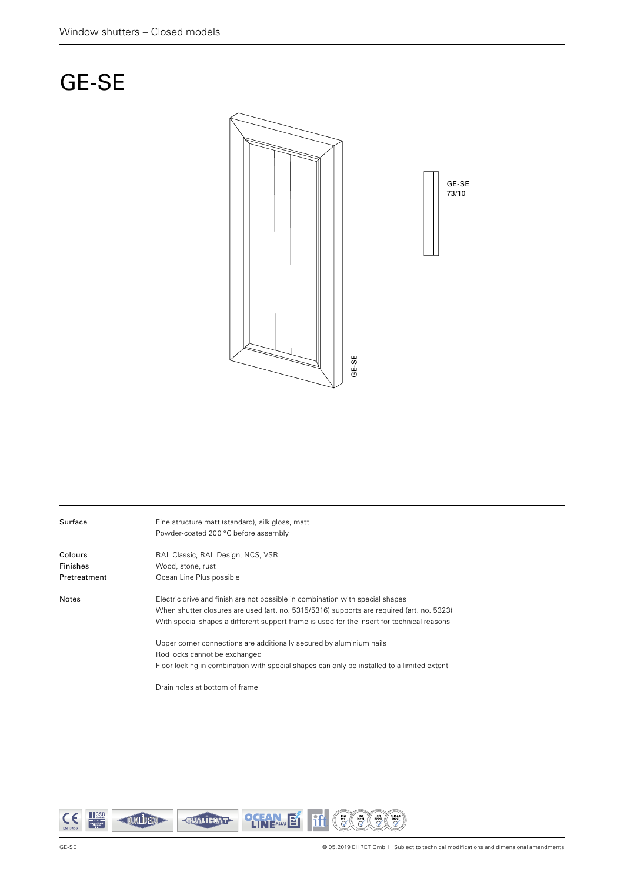## GE-SE



| Surface                             | Fine structure matt (standard), silk gloss, matt<br>Powder-coated 200 °C before assembly                                                                                                                                                                                 |
|-------------------------------------|--------------------------------------------------------------------------------------------------------------------------------------------------------------------------------------------------------------------------------------------------------------------------|
| Colours<br>Finishes<br>Pretreatment | RAL Classic, RAL Design, NCS, VSR<br>Wood, stone, rust<br>Ocean Line Plus possible                                                                                                                                                                                       |
| Notes                               | Electric drive and finish are not possible in combination with special shapes<br>When shutter closures are used (art. no. 5315/5316) supports are required (art. no. 5323)<br>With special shapes a different support frame is used for the insert for technical reasons |
|                                     | Upper corner connections are additionally secured by aluminium nails<br>Rod locks cannot be exchanged<br>Floor locking in combination with special shapes can only be installed to a limited extent                                                                      |
|                                     | Drain holes at bottom of frame                                                                                                                                                                                                                                           |